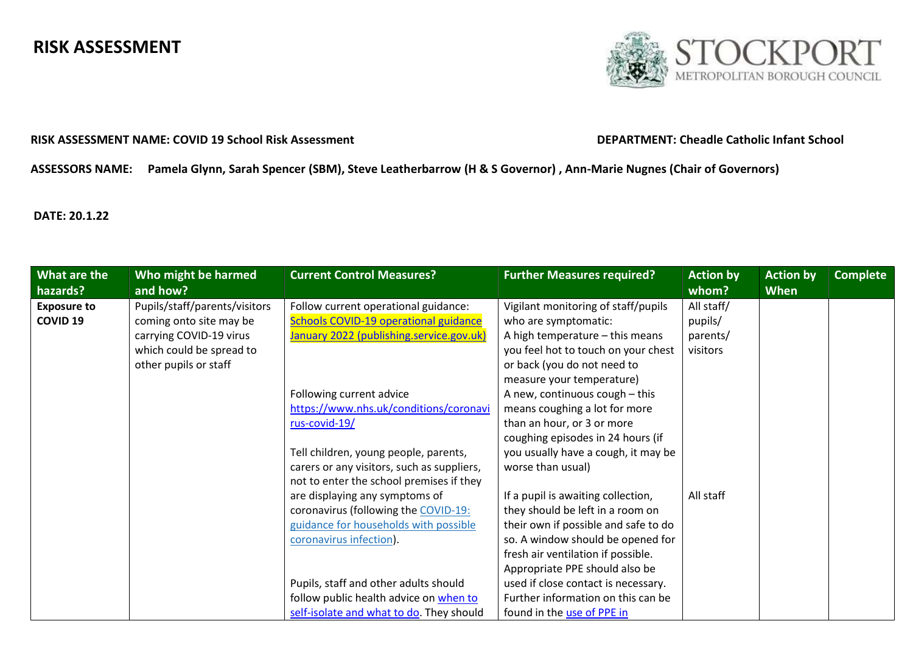# RISK ASSESSMENT



## RISK ASSESSMENT NAME: COVID 19 School Risk Assessment DEPARTMENT: Cheadle Catholic Infant School

# ASSESSORS NAME: Pamela Glynn, Sarah Spencer (SBM), Steve Leatherbarrow (H & S Governor) , Ann-Marie Nugnes (Chair of Governors)

# DATE: 20.1.22

| What are the       | Who might be harmed           | <b>Current Control Measures?</b>             | <b>Further Measures required?</b>    | <b>Action by</b> | <b>Action by</b> | <b>Complete</b> |
|--------------------|-------------------------------|----------------------------------------------|--------------------------------------|------------------|------------------|-----------------|
| hazards?           | and how?                      |                                              |                                      | whom?            | <b>When</b>      |                 |
| <b>Exposure to</b> | Pupils/staff/parents/visitors | Follow current operational guidance:         | Vigilant monitoring of staff/pupils  | All staff/       |                  |                 |
| <b>COVID 19</b>    | coming onto site may be       | <b>Schools COVID-19 operational guidance</b> | who are symptomatic:                 | pupils/          |                  |                 |
|                    | carrying COVID-19 virus       | January 2022 (publishing.service.gov.uk)     | A high temperature - this means      | parents/         |                  |                 |
|                    | which could be spread to      |                                              | you feel hot to touch on your chest  | visitors         |                  |                 |
|                    | other pupils or staff         |                                              | or back (you do not need to          |                  |                  |                 |
|                    |                               |                                              | measure your temperature)            |                  |                  |                 |
|                    |                               | Following current advice                     | A new, continuous cough - this       |                  |                  |                 |
|                    |                               | https://www.nhs.uk/conditions/coronavi       | means coughing a lot for more        |                  |                  |                 |
|                    |                               | rus-covid-19/                                | than an hour, or 3 or more           |                  |                  |                 |
|                    |                               |                                              | coughing episodes in 24 hours (if    |                  |                  |                 |
|                    |                               | Tell children, young people, parents,        | you usually have a cough, it may be  |                  |                  |                 |
|                    |                               | carers or any visitors, such as suppliers,   | worse than usual)                    |                  |                  |                 |
|                    |                               | not to enter the school premises if they     |                                      |                  |                  |                 |
|                    |                               | are displaying any symptoms of               | If a pupil is awaiting collection,   | All staff        |                  |                 |
|                    |                               | coronavirus (following the COVID-19:         | they should be left in a room on     |                  |                  |                 |
|                    |                               | guidance for households with possible        | their own if possible and safe to do |                  |                  |                 |
|                    |                               | coronavirus infection).                      | so. A window should be opened for    |                  |                  |                 |
|                    |                               |                                              | fresh air ventilation if possible.   |                  |                  |                 |
|                    |                               |                                              | Appropriate PPE should also be       |                  |                  |                 |
|                    |                               | Pupils, staff and other adults should        | used if close contact is necessary.  |                  |                  |                 |
|                    |                               | follow public health advice on when to       | Further information on this can be   |                  |                  |                 |
|                    |                               | self-isolate and what to do. They should     | found in the use of PPE in           |                  |                  |                 |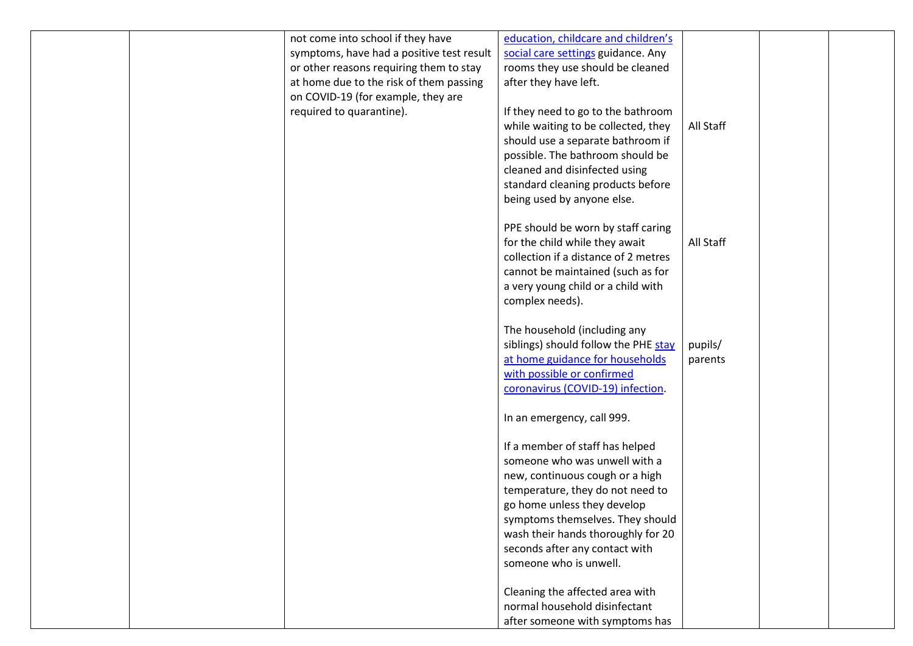|  | not come into school if they have         | education, childcare and children's  |           |  |
|--|-------------------------------------------|--------------------------------------|-----------|--|
|  | symptoms, have had a positive test result | social care settings guidance. Any   |           |  |
|  |                                           |                                      |           |  |
|  | or other reasons requiring them to stay   | rooms they use should be cleaned     |           |  |
|  | at home due to the risk of them passing   | after they have left.                |           |  |
|  | on COVID-19 (for example, they are        |                                      |           |  |
|  | required to quarantine).                  | If they need to go to the bathroom   |           |  |
|  |                                           | while waiting to be collected, they  | All Staff |  |
|  |                                           | should use a separate bathroom if    |           |  |
|  |                                           | possible. The bathroom should be     |           |  |
|  |                                           | cleaned and disinfected using        |           |  |
|  |                                           | standard cleaning products before    |           |  |
|  |                                           | being used by anyone else.           |           |  |
|  |                                           |                                      |           |  |
|  |                                           | PPE should be worn by staff caring   |           |  |
|  |                                           | for the child while they await       | All Staff |  |
|  |                                           | collection if a distance of 2 metres |           |  |
|  |                                           | cannot be maintained (such as for    |           |  |
|  |                                           | a very young child or a child with   |           |  |
|  |                                           | complex needs).                      |           |  |
|  |                                           |                                      |           |  |
|  |                                           | The household (including any         |           |  |
|  |                                           |                                      |           |  |
|  |                                           | siblings) should follow the PHE stay | pupils/   |  |
|  |                                           | at home guidance for households      | parents   |  |
|  |                                           | with possible or confirmed           |           |  |
|  |                                           | coronavirus (COVID-19) infection.    |           |  |
|  |                                           |                                      |           |  |
|  |                                           | In an emergency, call 999.           |           |  |
|  |                                           | If a member of staff has helped      |           |  |
|  |                                           | someone who was unwell with a        |           |  |
|  |                                           | new, continuous cough or a high      |           |  |
|  |                                           | temperature, they do not need to     |           |  |
|  |                                           | go home unless they develop          |           |  |
|  |                                           |                                      |           |  |
|  |                                           | symptoms themselves. They should     |           |  |
|  |                                           | wash their hands thoroughly for 20   |           |  |
|  |                                           | seconds after any contact with       |           |  |
|  |                                           | someone who is unwell.               |           |  |
|  |                                           | Cleaning the affected area with      |           |  |
|  |                                           | normal household disinfectant        |           |  |
|  |                                           |                                      |           |  |
|  |                                           | after someone with symptoms has      |           |  |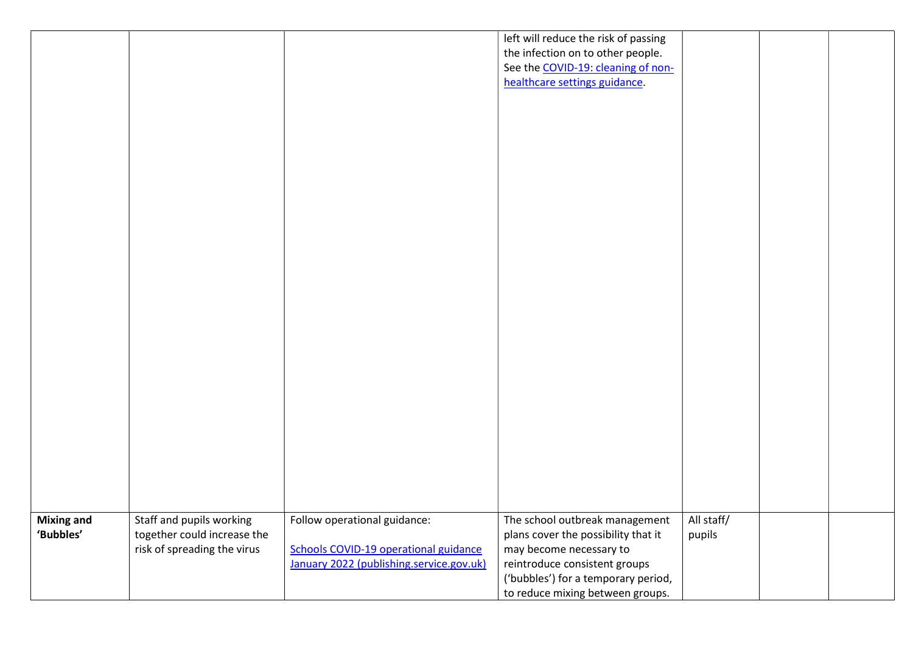|                   |                             |                                              | left will reduce the risk of passing |            |  |
|-------------------|-----------------------------|----------------------------------------------|--------------------------------------|------------|--|
|                   |                             |                                              | the infection on to other people.    |            |  |
|                   |                             |                                              | See the COVID-19: cleaning of non-   |            |  |
|                   |                             |                                              | healthcare settings guidance.        |            |  |
|                   |                             |                                              |                                      |            |  |
|                   |                             |                                              |                                      |            |  |
|                   |                             |                                              |                                      |            |  |
|                   |                             |                                              |                                      |            |  |
|                   |                             |                                              |                                      |            |  |
|                   |                             |                                              |                                      |            |  |
|                   |                             |                                              |                                      |            |  |
|                   |                             |                                              |                                      |            |  |
|                   |                             |                                              |                                      |            |  |
|                   |                             |                                              |                                      |            |  |
|                   |                             |                                              |                                      |            |  |
|                   |                             |                                              |                                      |            |  |
|                   |                             |                                              |                                      |            |  |
|                   |                             |                                              |                                      |            |  |
|                   |                             |                                              |                                      |            |  |
|                   |                             |                                              |                                      |            |  |
|                   |                             |                                              |                                      |            |  |
|                   |                             |                                              |                                      |            |  |
|                   |                             |                                              |                                      |            |  |
|                   |                             |                                              |                                      |            |  |
|                   |                             |                                              |                                      |            |  |
|                   |                             |                                              |                                      |            |  |
|                   |                             |                                              |                                      |            |  |
|                   |                             |                                              |                                      |            |  |
|                   |                             |                                              |                                      |            |  |
|                   |                             |                                              |                                      |            |  |
| <b>Mixing and</b> | Staff and pupils working    | Follow operational guidance:                 | The school outbreak management       | All staff/ |  |
| 'Bubbles'         | together could increase the |                                              | plans cover the possibility that it  | pupils     |  |
|                   | risk of spreading the virus | <b>Schools COVID-19 operational guidance</b> | may become necessary to              |            |  |
|                   |                             | January 2022 (publishing.service.gov.uk)     | reintroduce consistent groups        |            |  |
|                   |                             |                                              | ('bubbles') for a temporary period,  |            |  |
|                   |                             |                                              | to reduce mixing between groups.     |            |  |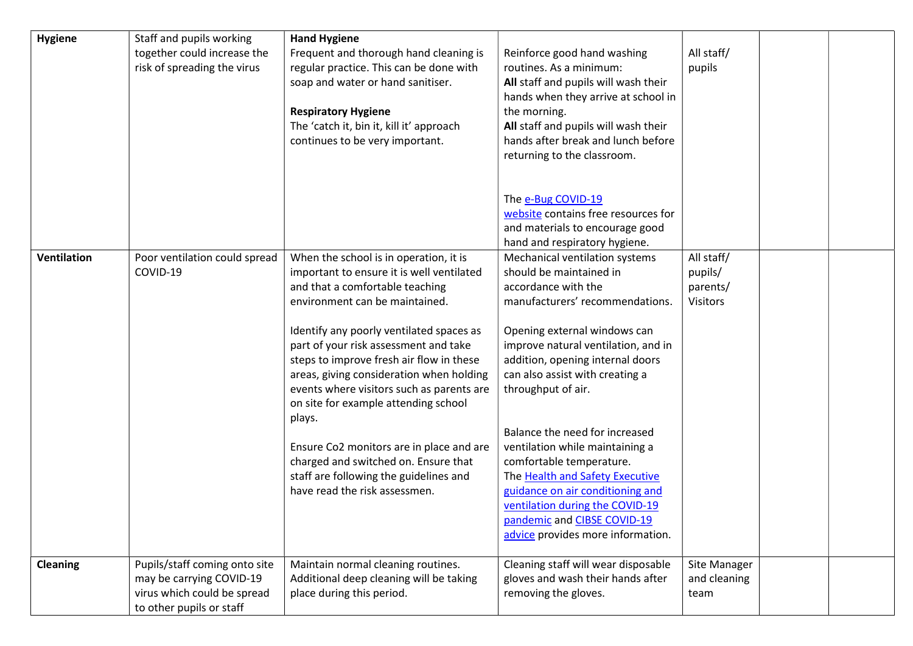| <b>Hygiene</b>  | Staff and pupils working<br>together could increase the<br>risk of spreading the virus                               | <b>Hand Hygiene</b><br>Frequent and thorough hand cleaning is<br>regular practice. This can be done with<br>soap and water or hand sanitiser.<br><b>Respiratory Hygiene</b><br>The 'catch it, bin it, kill it' approach<br>continues to be very important.                                                                                                                                                                                                                                                                                                                                          | Reinforce good hand washing<br>routines. As a minimum:<br>All staff and pupils will wash their<br>hands when they arrive at school in<br>the morning.<br>All staff and pupils will wash their<br>hands after break and lunch before<br>returning to the classroom.                                                                                                                                                                                                                                                                                                     | All staff/<br>pupils                                 |  |
|-----------------|----------------------------------------------------------------------------------------------------------------------|-----------------------------------------------------------------------------------------------------------------------------------------------------------------------------------------------------------------------------------------------------------------------------------------------------------------------------------------------------------------------------------------------------------------------------------------------------------------------------------------------------------------------------------------------------------------------------------------------------|------------------------------------------------------------------------------------------------------------------------------------------------------------------------------------------------------------------------------------------------------------------------------------------------------------------------------------------------------------------------------------------------------------------------------------------------------------------------------------------------------------------------------------------------------------------------|------------------------------------------------------|--|
|                 |                                                                                                                      |                                                                                                                                                                                                                                                                                                                                                                                                                                                                                                                                                                                                     | The e-Bug COVID-19<br>website contains free resources for<br>and materials to encourage good<br>hand and respiratory hygiene.                                                                                                                                                                                                                                                                                                                                                                                                                                          |                                                      |  |
| Ventilation     | Poor ventilation could spread<br>COVID-19                                                                            | When the school is in operation, it is<br>important to ensure it is well ventilated<br>and that a comfortable teaching<br>environment can be maintained.<br>Identify any poorly ventilated spaces as<br>part of your risk assessment and take<br>steps to improve fresh air flow in these<br>areas, giving consideration when holding<br>events where visitors such as parents are<br>on site for example attending school<br>plays.<br>Ensure Co2 monitors are in place and are<br>charged and switched on. Ensure that<br>staff are following the guidelines and<br>have read the risk assessmen. | Mechanical ventilation systems<br>should be maintained in<br>accordance with the<br>manufacturers' recommendations.<br>Opening external windows can<br>improve natural ventilation, and in<br>addition, opening internal doors<br>can also assist with creating a<br>throughput of air.<br>Balance the need for increased<br>ventilation while maintaining a<br>comfortable temperature.<br>The Health and Safety Executive<br>guidance on air conditioning and<br>ventilation during the COVID-19<br>pandemic and CIBSE COVID-19<br>advice provides more information. | All staff/<br>pupils/<br>parents/<br><b>Visitors</b> |  |
| <b>Cleaning</b> | Pupils/staff coming onto site<br>may be carrying COVID-19<br>virus which could be spread<br>to other pupils or staff | Maintain normal cleaning routines.<br>Additional deep cleaning will be taking<br>place during this period.                                                                                                                                                                                                                                                                                                                                                                                                                                                                                          | Cleaning staff will wear disposable<br>gloves and wash their hands after<br>removing the gloves.                                                                                                                                                                                                                                                                                                                                                                                                                                                                       | Site Manager<br>and cleaning<br>team                 |  |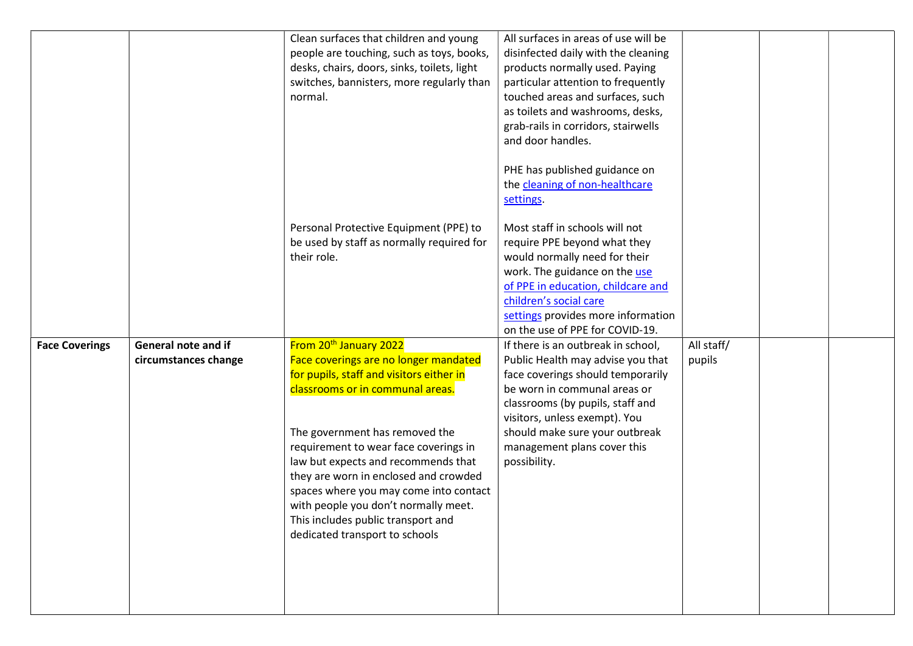|                       |                                                    | Clean surfaces that children and young<br>people are touching, such as toys, books,<br>desks, chairs, doors, sinks, toilets, light<br>switches, bannisters, more regularly than<br>normal.                                                                                                                                                                                                                                                                                       | All surfaces in areas of use will be<br>disinfected daily with the cleaning<br>products normally used. Paying<br>particular attention to frequently<br>touched areas and surfaces, such<br>as toilets and washrooms, desks,<br>grab-rails in corridors, stairwells<br>and door handles.                                                                   |                      |  |
|-----------------------|----------------------------------------------------|----------------------------------------------------------------------------------------------------------------------------------------------------------------------------------------------------------------------------------------------------------------------------------------------------------------------------------------------------------------------------------------------------------------------------------------------------------------------------------|-----------------------------------------------------------------------------------------------------------------------------------------------------------------------------------------------------------------------------------------------------------------------------------------------------------------------------------------------------------|----------------------|--|
|                       |                                                    | Personal Protective Equipment (PPE) to<br>be used by staff as normally required for<br>their role.                                                                                                                                                                                                                                                                                                                                                                               | PHE has published guidance on<br>the cleaning of non-healthcare<br>settings.<br>Most staff in schools will not<br>require PPE beyond what they<br>would normally need for their<br>work. The guidance on the use<br>of PPE in education, childcare and<br>children's social care<br>settings provides more information<br>on the use of PPE for COVID-19. |                      |  |
| <b>Face Coverings</b> | <b>General note and if</b><br>circumstances change | From 20 <sup>th</sup> January 2022<br>Face coverings are no longer mandated<br>for pupils, staff and visitors either in<br>classrooms or in communal areas.<br>The government has removed the<br>requirement to wear face coverings in<br>law but expects and recommends that<br>they are worn in enclosed and crowded<br>spaces where you may come into contact<br>with people you don't normally meet.<br>This includes public transport and<br>dedicated transport to schools | If there is an outbreak in school,<br>Public Health may advise you that<br>face coverings should temporarily<br>be worn in communal areas or<br>classrooms (by pupils, staff and<br>visitors, unless exempt). You<br>should make sure your outbreak<br>management plans cover this<br>possibility.                                                        | All staff/<br>pupils |  |